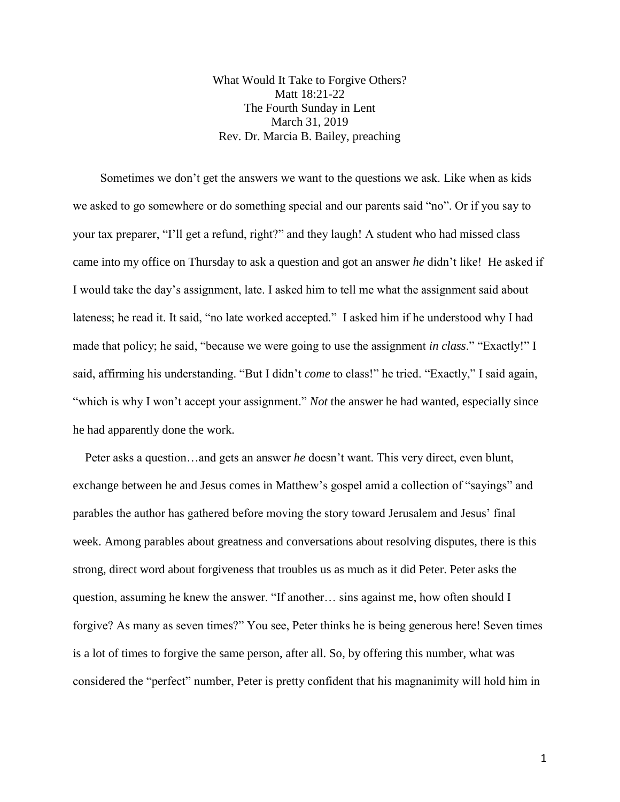What Would It Take to Forgive Others? Matt 18:21-22 The Fourth Sunday in Lent March 31, 2019 Rev. Dr. Marcia B. Bailey, preaching

 Sometimes we don't get the answers we want to the questions we ask. Like when as kids we asked to go somewhere or do something special and our parents said "no". Or if you say to your tax preparer, "I'll get a refund, right?" and they laugh! A student who had missed class came into my office on Thursday to ask a question and got an answer *he* didn't like! He asked if I would take the day's assignment, late. I asked him to tell me what the assignment said about lateness; he read it. It said, "no late worked accepted." I asked him if he understood why I had made that policy; he said, "because we were going to use the assignment *in class*." "Exactly!" I said, affirming his understanding. "But I didn't *come* to class!" he tried. "Exactly," I said again, "which is why I won't accept your assignment." *Not* the answer he had wanted, especially since he had apparently done the work.

 Peter asks a question…and gets an answer *he* doesn't want. This very direct, even blunt, exchange between he and Jesus comes in Matthew's gospel amid a collection of "sayings" and parables the author has gathered before moving the story toward Jerusalem and Jesus' final week. Among parables about greatness and conversations about resolving disputes, there is this strong, direct word about forgiveness that troubles us as much as it did Peter. Peter asks the question, assuming he knew the answer. "If another… sins against me, how often should I forgive? As many as seven times?" You see, Peter thinks he is being generous here! Seven times is a lot of times to forgive the same person, after all. So, by offering this number, what was considered the "perfect" number, Peter is pretty confident that his magnanimity will hold him in

1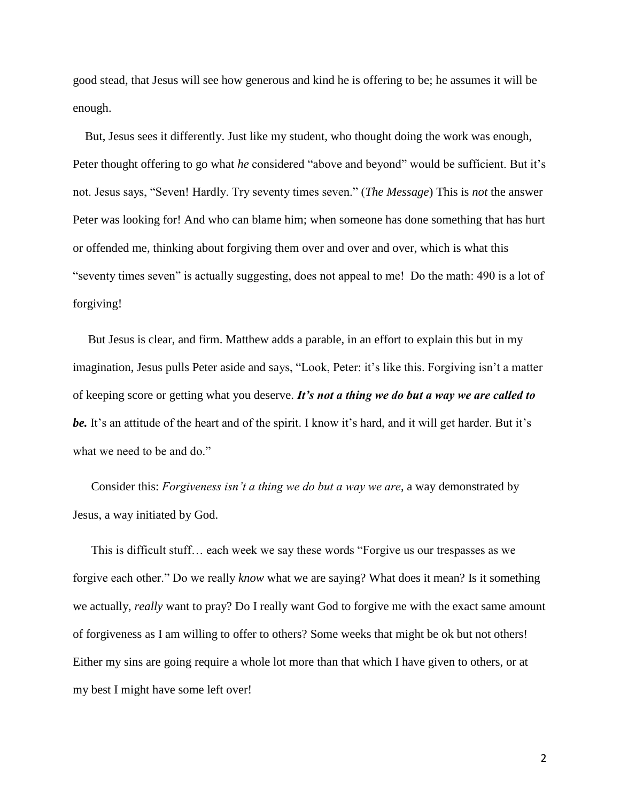good stead, that Jesus will see how generous and kind he is offering to be; he assumes it will be enough.

 But, Jesus sees it differently. Just like my student, who thought doing the work was enough, Peter thought offering to go what *he* considered "above and beyond" would be sufficient. But it's not. Jesus says, "Seven! Hardly. Try seventy times seven." (*The Message*) This is *not* the answer Peter was looking for! And who can blame him; when someone has done something that has hurt or offended me, thinking about forgiving them over and over and over, which is what this "seventy times seven" is actually suggesting, does not appeal to me! Do the math: 490 is a lot of forgiving!

 But Jesus is clear, and firm. Matthew adds a parable, in an effort to explain this but in my imagination, Jesus pulls Peter aside and says, "Look, Peter: it's like this. Forgiving isn't a matter of keeping score or getting what you deserve. *It's not a thing we do but a way we are called to*  be. It's an attitude of the heart and of the spirit. I know it's hard, and it will get harder. But it's what we need to be and do."

 Consider this: *Forgiveness isn't a thing we do but a way we are*, a way demonstrated by Jesus, a way initiated by God.

 This is difficult stuff… each week we say these words "Forgive us our trespasses as we forgive each other." Do we really *know* what we are saying? What does it mean? Is it something we actually, *really* want to pray? Do I really want God to forgive me with the exact same amount of forgiveness as I am willing to offer to others? Some weeks that might be ok but not others! Either my sins are going require a whole lot more than that which I have given to others, or at my best I might have some left over!

2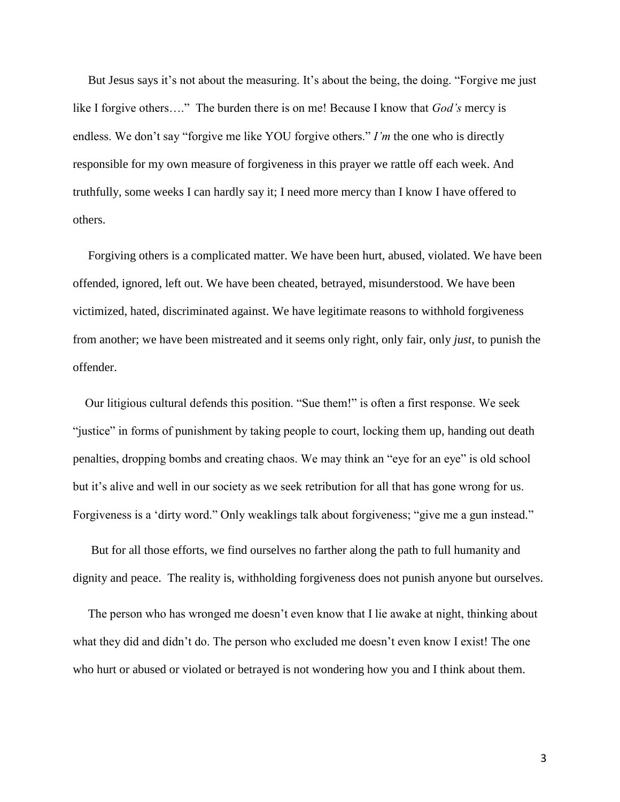But Jesus says it's not about the measuring. It's about the being, the doing. "Forgive me just like I forgive others…." The burden there is on me! Because I know that *God's* mercy is endless. We don't say "forgive me like YOU forgive others." *I'm* the one who is directly responsible for my own measure of forgiveness in this prayer we rattle off each week. And truthfully, some weeks I can hardly say it; I need more mercy than I know I have offered to others.

 Forgiving others is a complicated matter. We have been hurt, abused, violated. We have been offended, ignored, left out. We have been cheated, betrayed, misunderstood. We have been victimized, hated, discriminated against. We have legitimate reasons to withhold forgiveness from another; we have been mistreated and it seems only right, only fair, only *just*, to punish the offender.

 Our litigious cultural defends this position. "Sue them!" is often a first response. We seek "justice" in forms of punishment by taking people to court, locking them up, handing out death penalties, dropping bombs and creating chaos. We may think an "eye for an eye" is old school but it's alive and well in our society as we seek retribution for all that has gone wrong for us. Forgiveness is a 'dirty word." Only weaklings talk about forgiveness; "give me a gun instead."

 But for all those efforts, we find ourselves no farther along the path to full humanity and dignity and peace. The reality is, withholding forgiveness does not punish anyone but ourselves.

 The person who has wronged me doesn't even know that I lie awake at night, thinking about what they did and didn't do. The person who excluded me doesn't even know I exist! The one who hurt or abused or violated or betrayed is not wondering how you and I think about them.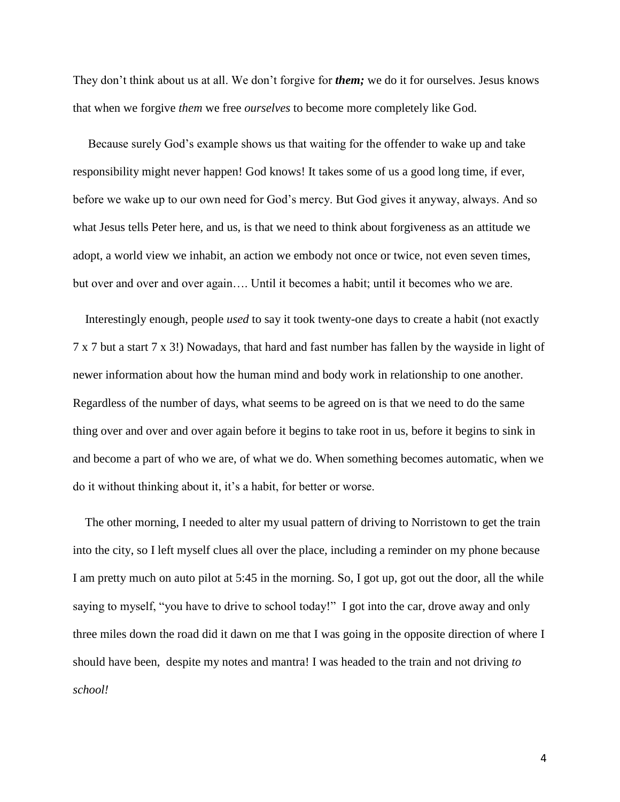They don't think about us at all. We don't forgive for *them;* we do it for ourselves. Jesus knows that when we forgive *them* we free *ourselves* to become more completely like God.

 Because surely God's example shows us that waiting for the offender to wake up and take responsibility might never happen! God knows! It takes some of us a good long time, if ever, before we wake up to our own need for God's mercy. But God gives it anyway, always. And so what Jesus tells Peter here, and us, is that we need to think about forgiveness as an attitude we adopt, a world view we inhabit, an action we embody not once or twice, not even seven times, but over and over and over again…. Until it becomes a habit; until it becomes who we are.

 Interestingly enough, people *used* to say it took twenty-one days to create a habit (not exactly 7 x 7 but a start 7 x 3!) Nowadays, that hard and fast number has fallen by the wayside in light of newer information about how the human mind and body work in relationship to one another. Regardless of the number of days, what seems to be agreed on is that we need to do the same thing over and over and over again before it begins to take root in us, before it begins to sink in and become a part of who we are, of what we do. When something becomes automatic, when we do it without thinking about it, it's a habit, for better or worse.

 The other morning, I needed to alter my usual pattern of driving to Norristown to get the train into the city, so I left myself clues all over the place, including a reminder on my phone because I am pretty much on auto pilot at 5:45 in the morning. So, I got up, got out the door, all the while saying to myself, "you have to drive to school today!" I got into the car, drove away and only three miles down the road did it dawn on me that I was going in the opposite direction of where I should have been, despite my notes and mantra! I was headed to the train and not driving *to school!*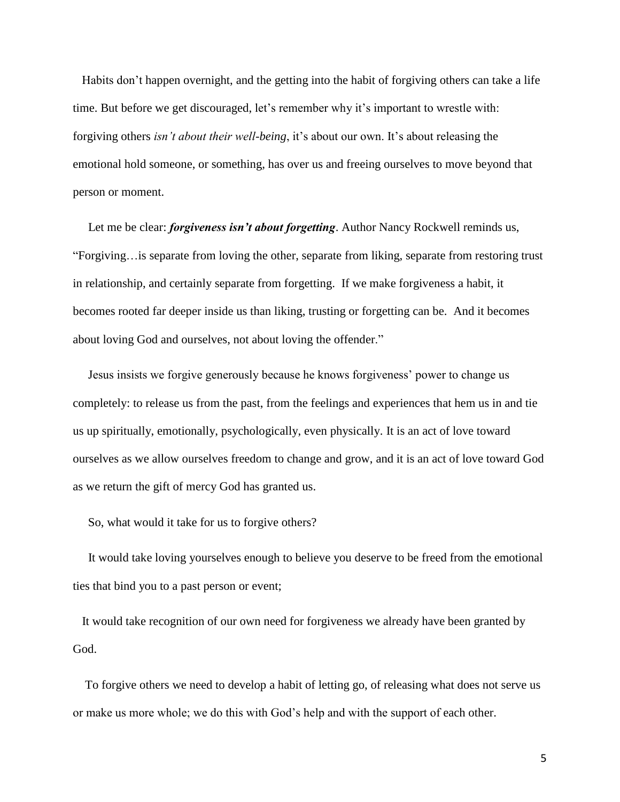Habits don't happen overnight, and the getting into the habit of forgiving others can take a life time. But before we get discouraged, let's remember why it's important to wrestle with: forgiving others *isn't about their well-being*, it's about our own. It's about releasing the emotional hold someone, or something, has over us and freeing ourselves to move beyond that person or moment.

Let me be clear: *forgiveness isn't about forgetting*. Author Nancy Rockwell reminds us, "Forgiving…is separate from loving the other, separate from liking, separate from restoring trust in relationship, and certainly separate from forgetting. If we make forgiveness a habit, it becomes rooted far deeper inside us than liking, trusting or forgetting can be. And it becomes about loving God and ourselves, not about loving the offender."

 Jesus insists we forgive generously because he knows forgiveness' power to change us completely: to release us from the past, from the feelings and experiences that hem us in and tie us up spiritually, emotionally, psychologically, even physically. It is an act of love toward ourselves as we allow ourselves freedom to change and grow, and it is an act of love toward God as we return the gift of mercy God has granted us.

So, what would it take for us to forgive others?

 It would take loving yourselves enough to believe you deserve to be freed from the emotional ties that bind you to a past person or event;

 It would take recognition of our own need for forgiveness we already have been granted by God.

 To forgive others we need to develop a habit of letting go, of releasing what does not serve us or make us more whole; we do this with God's help and with the support of each other.

5